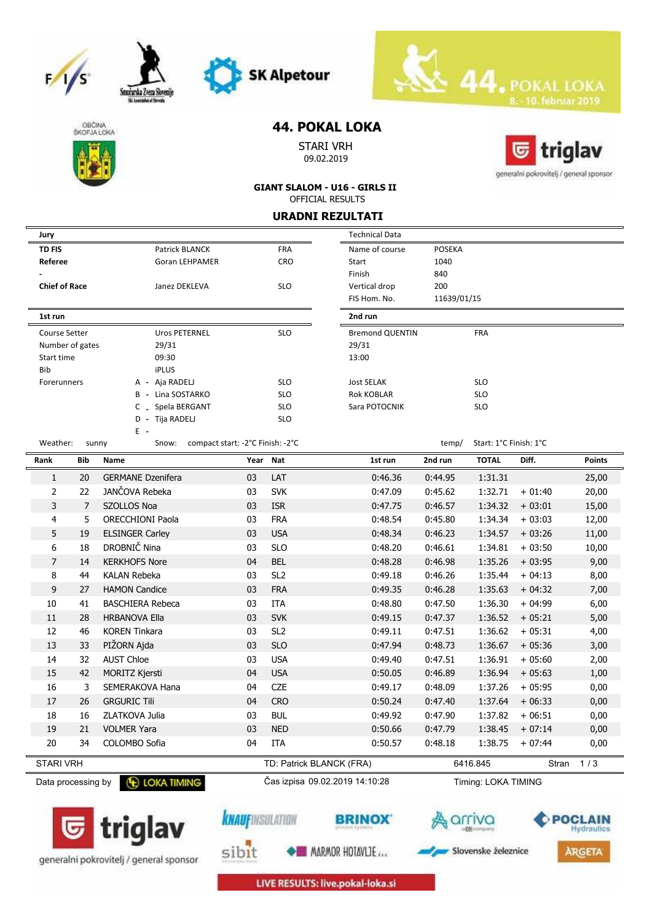







Smożarska Zveza S

## **44. POKAL LOKA**

STARI VRH 09.02.2019



**GIANT SLALOM - U16 - GIRLS II** OFFICIAL RESULTS

#### **URADNI REZULTATI**

|                          |     |                                         |                                                       |                   | <b>Technical Data</b>    |                       |                        |          |               |
|--------------------------|-----|-----------------------------------------|-------------------------------------------------------|-------------------|--------------------------|-----------------------|------------------------|----------|---------------|
| Jury                     |     |                                         |                                                       |                   |                          |                       |                        |          |               |
| <b>TD FIS</b><br>Referee |     | Patrick BLANCK<br><b>Goran LEHPAMER</b> |                                                       | <b>FRA</b><br>CRO | Name of course           | <b>POSEKA</b><br>1040 |                        |          |               |
|                          |     |                                         |                                                       |                   | Start<br>Finish          | 840                   |                        |          |               |
| <b>Chief of Race</b>     |     | Janez DEKLEVA                           |                                                       | <b>SLO</b>        | Vertical drop            | 200                   |                        |          |               |
|                          |     |                                         |                                                       |                   | FIS Hom. No.             | 11639/01/15           |                        |          |               |
| 1st run                  |     |                                         |                                                       |                   | 2nd run                  |                       |                        |          |               |
| <b>Course Setter</b>     |     | <b>Uros PETERNEL</b>                    |                                                       | <b>SLO</b>        | <b>Bremond QUENTIN</b>   |                       | FRA                    |          |               |
| Number of gates          |     | 29/31                                   |                                                       |                   | 29/31                    |                       |                        |          |               |
| Start time               |     | 09:30                                   |                                                       |                   | 13:00                    |                       |                        |          |               |
| Bib                      |     | iPLUS                                   |                                                       |                   |                          |                       |                        |          |               |
| Forerunners              |     | A - Aja RADELJ                          |                                                       | <b>SLO</b>        | <b>Jost SELAK</b>        |                       | <b>SLO</b>             |          |               |
|                          |     | B - Lina SOSTARKO                       |                                                       | <b>SLO</b>        | <b>Rok KOBLAR</b>        |                       | <b>SLO</b>             |          |               |
|                          |     | Spela BERGANT<br>C                      |                                                       | <b>SLO</b>        | Sara POTOCNIK            |                       | <b>SLO</b>             |          |               |
|                          |     | D - Tija RADELJ                         |                                                       | <b>SLO</b>        |                          |                       |                        |          |               |
| Weather:                 |     | Ε.<br>sunny<br>Snow:                    | compact start: -2°C Finish: -2°C                      |                   |                          | temp/                 | Start: 1°C Finish: 1°C |          |               |
| Rank                     | Bib | Name                                    | Year                                                  | Nat               | 1st run                  | 2nd run               | <b>TOTAL</b>           | Diff.    | <b>Points</b> |
| $\mathbf{1}$             | 20  | <b>GERMANE Dzenifera</b>                | 03                                                    | <b>LAT</b>        | 0:46.36                  | 0:44.95               | 1:31.31                |          | 25,00         |
| $\overline{2}$           | 22  | JANČOVA Rebeka                          | 03                                                    | <b>SVK</b>        | 0:47.09                  | 0:45.62               | 1:32.71                | $+01:40$ | 20,00         |
| 3                        | 7   | <b>SZOLLOS Noa</b>                      | 03                                                    | <b>ISR</b>        | 0:47.75                  | 0:46.57               | 1:34.32                | $+03:01$ | 15,00         |
| 4                        | 5   | <b>ORECCHIONI Paola</b>                 | 03                                                    | <b>FRA</b>        | 0:48.54                  | 0:45.80               | 1:34.34                | $+03:03$ | 12,00         |
| 5                        | 19  | <b>ELSINGER Carley</b>                  | 03                                                    | <b>USA</b>        | 0:48.34                  | 0:46.23               | 1:34.57                | $+03:26$ | 11,00         |
| 6                        | 18  | DROBNIČ Nina                            | 03                                                    | <b>SLO</b>        | 0:48.20                  | 0:46.61               | 1:34.81                | $+03:50$ | 10,00         |
| $\overline{7}$           | 14  | <b>KERKHOFS Nore</b>                    | 04                                                    | <b>BEL</b>        | 0:48.28                  | 0:46.98               | 1:35.26                | $+03:95$ | 9,00          |
| 8                        | 44  | <b>KALAN Rebeka</b>                     | 03                                                    | SL <sub>2</sub>   | 0:49.18                  | 0:46.26               | 1:35.44                | $+04:13$ | 8,00          |
| 9                        | 27  | <b>HAMON Candice</b>                    | 03                                                    | <b>FRA</b>        | 0:49.35                  | 0:46.28               | 1:35.63                | $+04:32$ | 7,00          |
| 10                       | 41  | <b>BASCHIERA Rebeca</b>                 | 03                                                    | <b>ITA</b>        | 0:48.80                  | 0:47.50               | 1:36.30                | $+04:99$ | 6,00          |
| 11                       | 28  | <b>HRBANOVA Ella</b>                    | 03                                                    | <b>SVK</b>        | 0:49.15                  | 0:47.37               | 1:36.52                | $+05:21$ | 5,00          |
| 12                       | 46  | <b>KOREN Tinkara</b>                    | 03                                                    | SL <sub>2</sub>   | 0:49.11                  | 0:47.51               | 1:36.62                | $+05:31$ | 4,00          |
| 13                       | 33  | PIŽORN Ajda                             | 03                                                    | <b>SLO</b>        | 0:47.94                  | 0:48.73               | 1:36.67                | $+05:36$ | 3,00          |
| 14                       | 32  | <b>AUST Chloe</b>                       | 03                                                    | <b>USA</b>        | 0:49.40                  | 0:47.51               | 1:36.91                | $+05:60$ | 2,00          |
| 15                       | 42  | MORITZ Kjersti                          | 04                                                    | <b>USA</b>        | 0:50.05                  | 0:46.89               | 1:36.94                | $+05:63$ | 1,00          |
| 16                       | 3   | SEMERAKOVA Hana                         | 04                                                    | <b>CZE</b>        | 0:49.17                  | 0:48.09               | 1:37.26                | $+05:95$ | 0,00          |
| 17                       | 26  | <b>GRGURIC Tili</b>                     | 04                                                    | <b>CRO</b>        | 0:50.24                  | 0:47.40               | 1:37.64                | $+06:33$ | 0,00          |
| 18                       | 16  | ZLATKOVA Julia                          | 03                                                    | <b>BUL</b>        | 0:49.92                  | 0:47.90               | 1:37.82                | $+06:51$ | 0,00          |
| 19                       | 21  | <b>VOLMER Yara</b>                      | 03                                                    | <b>NED</b>        | 0:50.66                  | 0:47.79               | 1:38.45                | $+07:14$ | 0,00          |
| 20                       | 34  | COLOMBO Sofia                           | 04                                                    | <b>ITA</b>        | 0:50.57                  | 0:48.18               | 1:38.75                | $+07:44$ | 0,00          |
| <b>STARI VRH</b>         |     |                                         |                                                       |                   | TD: Patrick BLANCK (FRA) |                       | 6416.845               | Stran    | 1/3           |
| Data processing by       |     | <b>E LOKA TIMING</b>                    | Čas izpisa 09.02.2019 14:10:28<br>Timing: LOKA TIMING |                   |                          |                       |                        |          |               |
|                          |     |                                         | <b><i>CNAUFINSULATION</i></b>                         |                   | <b>BRINOX</b>            | A arriva              |                        |          | POCLAIN       |







Slovenske železnice



LIVE RESULTS: live.pokal-loka.si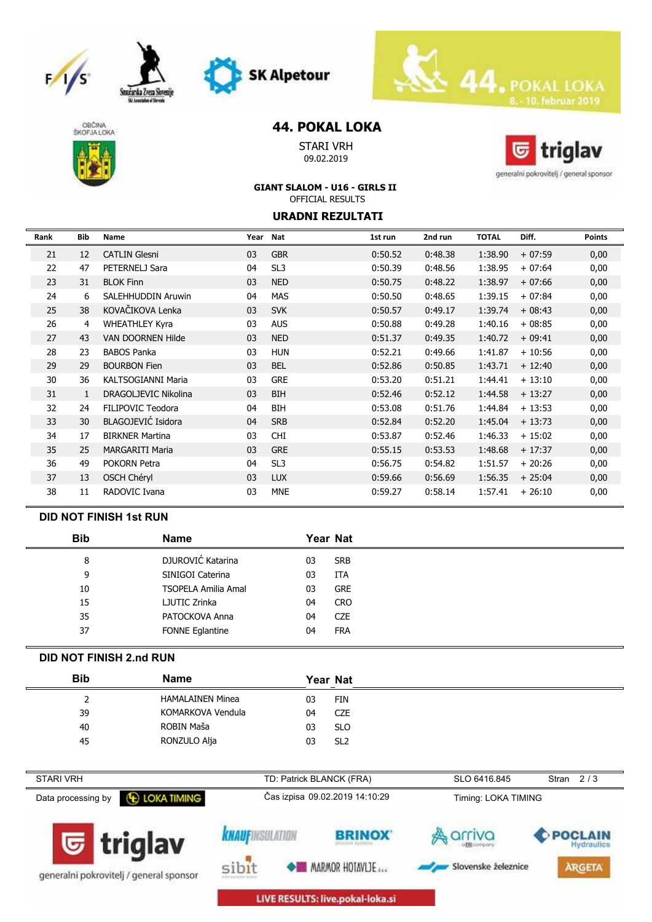







## **44. POKAL LOKA**

**SK Alpetour** 

STARI VRH 09.02.2019



generalni pokrovitelj / general sponsor

#### **GIANT SLALOM - U16 - GIRLS II** OFFICIAL RESULTS

#### **URADNI REZULTATI**

| Rank | Bib | <b>Name</b>               | Year | Nat             | 1st run | 2nd run | <b>TOTAL</b> | Diff.    | <b>Points</b> |
|------|-----|---------------------------|------|-----------------|---------|---------|--------------|----------|---------------|
| 21   | 12  | <b>CATLIN Glesni</b>      | 03   | <b>GBR</b>      | 0:50.52 | 0:48.38 | 1:38.90      | $+07:59$ | 0,00          |
| 22   | 47  | PETERNELJ Sara            | 04   | SL <sub>3</sub> | 0:50.39 | 0:48.56 | 1:38.95      | $+07:64$ | 0,00          |
| 23   | 31  | <b>BLOK Finn</b>          | 03   | <b>NED</b>      | 0:50.75 | 0:48.22 | 1:38.97      | $+07:66$ | 0,00          |
| 24   | 6   | SALEHHUDDIN Aruwin        | 04   | <b>MAS</b>      | 0:50.50 | 0:48.65 | 1:39.15      | $+07:84$ | 0,00          |
| 25   | 38  | KOVAČIKOVA Lenka          | 03   | <b>SVK</b>      | 0:50.57 | 0:49.17 | 1:39.74      | $+08:43$ | 0,00          |
| 26   | 4   | <b>WHEATHLEY Kyra</b>     | 03   | <b>AUS</b>      | 0:50.88 | 0:49.28 | 1:40.16      | $+08:85$ | 0,00          |
| 27   | 43  | VAN DOORNEN Hilde         | 03   | <b>NED</b>      | 0:51.37 | 0:49.35 | 1:40.72      | $+09:41$ | 0,00          |
| 28   | 23  | <b>BABOS Panka</b>        | 03   | <b>HUN</b>      | 0:52.21 | 0:49.66 | 1:41.87      | $+10:56$ | 0,00          |
| 29   | 29  | <b>BOURBON Fien</b>       | 03   | <b>BEL</b>      | 0:52.86 | 0:50.85 | 1:43.71      | $+12:40$ | 0,00          |
| 30   | 36  | <b>KALTSOGIANNI Maria</b> | 03   | <b>GRE</b>      | 0:53.20 | 0:51.21 | 1:44.41      | $+13:10$ | 0,00          |
| 31   | 1   | DRAGOLJEVIC Nikolina      | 03   | <b>BIH</b>      | 0:52.46 | 0:52.12 | 1:44.58      | $+13:27$ | 0,00          |
| 32   | 24  | FILIPOVIC Teodora         | 04   | <b>BIH</b>      | 0:53.08 | 0:51.76 | 1:44.84      | $+13:53$ | 0,00          |
| 33   | 30  | BLAGOJEVIĆ Isidora        | 04   | <b>SRB</b>      | 0:52.84 | 0:52.20 | 1:45.04      | $+13:73$ | 0,00          |
| 34   | 17  | <b>BIRKNER Martina</b>    | 03   | <b>CHI</b>      | 0:53.87 | 0:52.46 | 1:46.33      | $+15:02$ | 0,00          |
| 35   | 25  | <b>MARGARITI Maria</b>    | 03   | <b>GRE</b>      | 0:55.15 | 0:53.53 | 1:48.68      | $+17:37$ | 0,00          |
| 36   | 49  | <b>POKORN Petra</b>       | 04   | SL <sub>3</sub> | 0:56.75 | 0:54.82 | 1:51.57      | $+20:26$ | 0,00          |
| 37   | 13  | <b>OSCH Chéryl</b>        | 03   | <b>LUX</b>      | 0:59.66 | 0:56.69 | 1:56.35      | $+25:04$ | 0,00          |
| 38   | 11  | RADOVIC Ivana             | 03   | <b>MNE</b>      | 0:59.27 | 0:58.14 | 1:57.41      | $+26:10$ | 0,00          |

### **DID NOT FINISH 1st RUN**

| <b>Bib</b> | <b>Name</b>                |    | Year Nat   |
|------------|----------------------------|----|------------|
| 8          | DJUROVIĆ Katarina          | 03 | <b>SRB</b> |
| 9          | SINIGOI Caterina           | 03 | <b>ITA</b> |
| 10         | <b>TSOPELA Amilia Amal</b> | 03 | <b>GRE</b> |
| 15         | LJUTIC Zrinka              | 04 | <b>CRO</b> |
| 35         | PATOCKOVA Anna             | 04 | <b>CZE</b> |
| 37         | FONNE Eglantine            | 04 | <b>FRA</b> |

### **DID NOT FINISH 2.nd RUN**

| <b>Bib</b> | <b>Name</b>             | Year Nat         |  |
|------------|-------------------------|------------------|--|
|            | <b>HAMALAINEN Minea</b> | 03<br>FIN        |  |
| 39         | KOMARKOVA Vendula       | 04<br>CZE        |  |
| 40         | ROBIN Maša              | 03<br><b>SLO</b> |  |
| 45         | RONZULO Alja            | 03<br>SL2        |  |

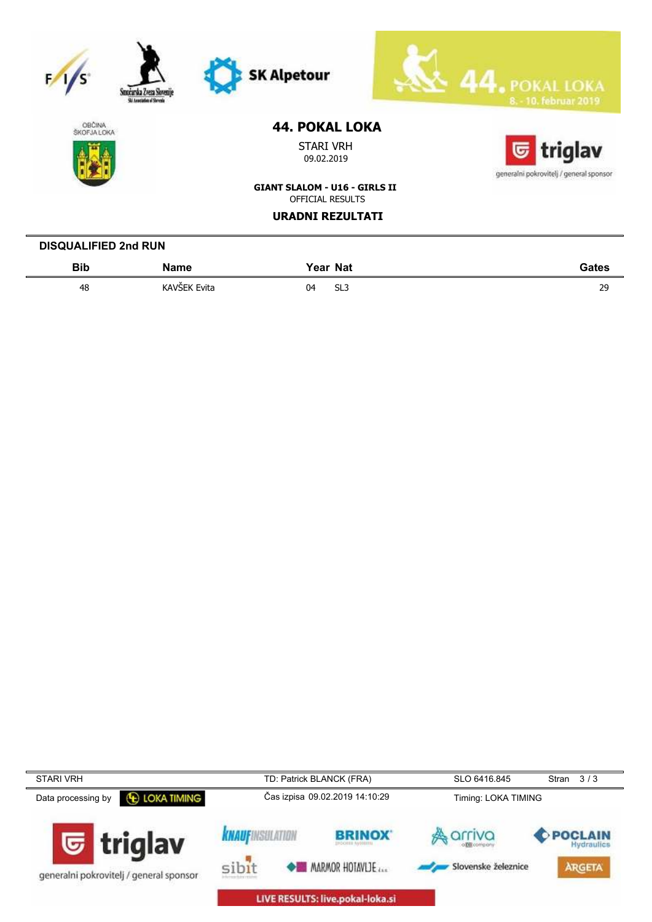| Smocarska Zveza Slovenije<br>Ski Ameriation of Shronda | <b>SK Alpetour</b>                   | <b>POKAL LOKA</b><br>8. - 10. februar 2019 |
|--------------------------------------------------------|--------------------------------------|--------------------------------------------|
| <b>OBČINA</b><br><b>ŠKOFJALOKA</b>                     | <b>44. POKAL LOKA</b>                |                                            |
|                                                        | <b>STARI VRH</b><br>09.02.2019       | triglav<br>で                               |
|                                                        |                                      | generalni pokrovitelj / general sponsor    |
|                                                        | <b>GIANT SLALOM - U16 - GIRLS II</b> |                                            |
|                                                        | <b>OFFICIAL RESULTS</b>              |                                            |
|                                                        | <b>URADNI REZULTATI</b>              |                                            |
| <b>DISQUALIFIED 2nd RUN</b>                            |                                      |                                            |

48 KAVŠEK Evita 04 SL3 29

**Year Nat Gates**

**Bib Name**

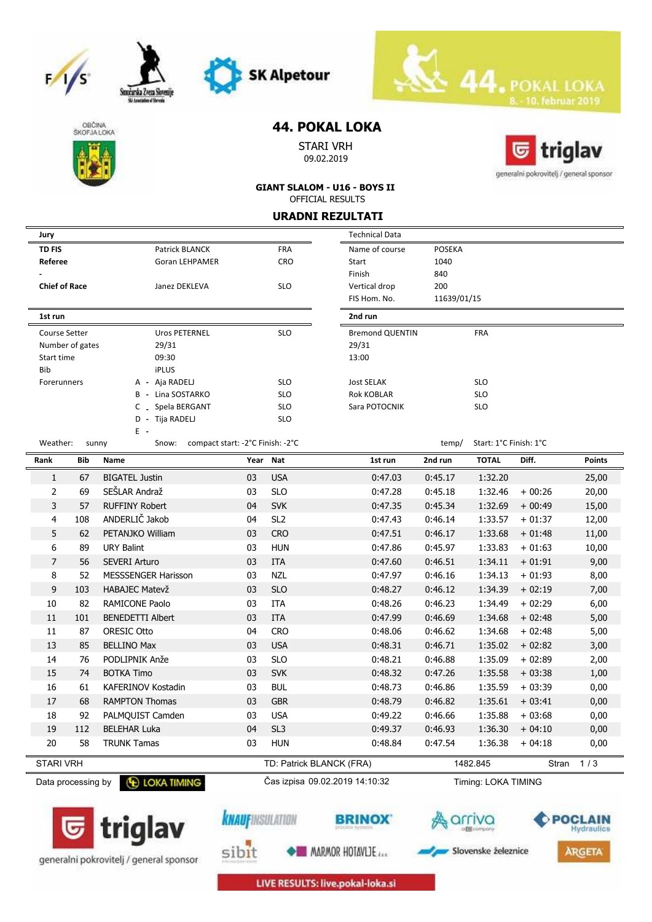







Smożarska Zveza S

## **44. POKAL LOKA**

STARI VRH 09.02.2019



**ARGETA** 

Slovenske železnice

**GIANT SLALOM - U16 - BOYS II** OFFICIAL RESULTS

**URADNI REZULTATI**

| Jury                 |                 |                                                           |                         |                 | <b>Technical Data</b>          |               |                        |          |                       |
|----------------------|-----------------|-----------------------------------------------------------|-------------------------|-----------------|--------------------------------|---------------|------------------------|----------|-----------------------|
| <b>TD FIS</b>        |                 | Patrick BLANCK                                            |                         | <b>FRA</b>      | Name of course                 | <b>POSEKA</b> |                        |          |                       |
| Referee              |                 | <b>Goran LEHPAMER</b>                                     |                         | <b>CRO</b>      | Start                          | 1040          |                        |          |                       |
|                      |                 |                                                           |                         |                 | Finish                         | 840           |                        |          |                       |
| <b>Chief of Race</b> |                 | Janez DEKLEVA                                             |                         | <b>SLO</b>      | Vertical drop                  | 200           |                        |          |                       |
|                      |                 |                                                           |                         |                 | FIS Hom. No.                   | 11639/01/15   |                        |          |                       |
| 1st run              |                 |                                                           |                         |                 | 2nd run                        |               |                        |          |                       |
| <b>Course Setter</b> |                 | <b>Uros PETERNEL</b>                                      |                         | <b>SLO</b>      | <b>Bremond QUENTIN</b>         |               | FRA                    |          |                       |
|                      | Number of gates | 29/31                                                     |                         |                 | 29/31                          |               |                        |          |                       |
| Start time           |                 | 09:30                                                     |                         |                 | 13:00                          |               |                        |          |                       |
| Bib                  |                 | <b>iPLUS</b>                                              |                         |                 |                                |               |                        |          |                       |
| Forerunners          |                 | A - Aja RADELJ                                            |                         | <b>SLO</b>      | <b>Jost SELAK</b>              |               | <b>SLO</b>             |          |                       |
|                      |                 | B - Lina SOSTARKO                                         |                         | <b>SLO</b>      | <b>Rok KOBLAR</b>              |               | <b>SLO</b>             |          |                       |
|                      |                 | _ Spela BERGANT<br>С                                      |                         | <b>SLO</b>      | Sara POTOCNIK                  |               | <b>SLO</b>             |          |                       |
|                      |                 | D - Tija RADELJ                                           |                         | <b>SLO</b>      |                                |               |                        |          |                       |
| Weather:             |                 | E -<br>compact start: -2°C Finish: -2°C<br>sunny<br>Snow: |                         |                 |                                | temp/         | Start: 1°C Finish: 1°C |          |                       |
| Rank                 | Bib             | Name                                                      |                         | Year Nat        | 1st run                        | 2nd run       | <b>TOTAL</b>           | Diff.    | <b>Points</b>         |
| $\mathbf{1}$         | 67              | <b>BIGATEL Justin</b>                                     | 03                      | <b>USA</b>      | 0:47.03                        | 0:45.17       | 1:32.20                |          | 25,00                 |
| 2                    | 69              | SEŠLAR Andraž                                             | 03                      | <b>SLO</b>      | 0:47.28                        | 0:45.18       | 1:32.46                | $+00:26$ | 20,00                 |
| 3                    | 57              | <b>RUFFINY Robert</b>                                     | 04                      | <b>SVK</b>      | 0:47.35                        | 0:45.34       | 1:32.69                | $+00:49$ | 15,00                 |
| 4                    | 108             | ANDERLIČ Jakob                                            | 04                      | SL <sub>2</sub> | 0:47.43                        | 0:46.14       | 1:33.57                | $+01:37$ | 12,00                 |
| 5                    | 62              | PETANJKO William                                          | 03                      | <b>CRO</b>      | 0:47.51                        | 0:46.17       | 1:33.68                | $+01:48$ | 11,00                 |
| 6                    | 89              | <b>URY Balint</b>                                         | 03                      | <b>HUN</b>      | 0:47.86                        | 0:45.97       | 1:33.83                | $+01:63$ | 10,00                 |
| $\overline{7}$       | 56              | <b>SEVERI Arturo</b>                                      | 03                      | <b>ITA</b>      | 0:47.60                        | 0:46.51       | 1:34.11                | $+01:91$ | 9,00                  |
| 8                    | 52              | MESSSENGER Harisson                                       | 03                      | <b>NZL</b>      | 0:47.97                        | 0:46.16       | 1:34.13                | $+01:93$ | 8,00                  |
| 9                    | 103             | <b>HABAJEC Matevž</b>                                     | 03                      | <b>SLO</b>      | 0:48.27                        | 0:46.12       | 1:34.39                | $+02:19$ | 7,00                  |
| 10                   | 82              | RAMICONE Paolo                                            | 03                      | ITA             | 0:48.26                        | 0:46.23       | 1:34.49                | $+02:29$ | 6,00                  |
| 11                   | 101             | <b>BENEDETTI Albert</b>                                   | 03                      | <b>ITA</b>      | 0:47.99                        | 0:46.69       | 1:34.68                | $+02:48$ | 5,00                  |
| 11                   | 87              | <b>ORESIC Otto</b>                                        | 04                      | <b>CRO</b>      | 0:48.06                        | 0:46.62       | 1:34.68                | $+02:48$ | 5,00                  |
| 13                   | 85              | <b>BELLINO Max</b>                                        | 03                      | <b>USA</b>      | 0:48.31                        | 0:46.71       | 1:35.02                | $+02:82$ | 3,00                  |
| 14                   | 76              | PODLIPNIK Anže                                            | 03                      | <b>SLO</b>      | 0:48.21                        | 0:46.88       | 1:35.09                | $+02:89$ | 2,00                  |
| 15                   | 74              | <b>BOTKA Timo</b>                                         | 03                      | <b>SVK</b>      | 0:48.32                        | 0:47.26       | 1:35.58                | $+03:38$ | 1,00                  |
| 16                   | 61              | <b>KAFERINOV Kostadin</b>                                 | 03                      | <b>BUL</b>      | 0:48.73                        | 0:46.86       | 1:35.59                | $+03:39$ | 0,00                  |
| 17                   | 68              | <b>RAMPTON Thomas</b>                                     | 03                      | <b>GBR</b>      | 0:48.79                        | 0:46.82       | 1:35.61                | $+03:41$ | 0,00                  |
| 18                   | 92              | PALMQUIST Camden                                          | 03                      | <b>USA</b>      | 0:49.22                        | 0:46.66       | 1:35.88                | $+03:68$ | 0,00                  |
| 19                   | 112             | <b>BELEHAR Luka</b>                                       | 04                      | SL <sub>3</sub> | 0:49.37                        | 0:46.93       | 1:36.30                | $+04:10$ | 0,00                  |
| 20                   | 58              | <b>TRUNK Tamas</b>                                        | 03                      | <b>HUN</b>      | 0:48.84                        | 0:47.54       | 1:36.38                | $+04:18$ | 0,00                  |
| <b>STARI VRH</b>     |                 |                                                           |                         |                 | TD: Patrick BLANCK (FRA)       |               | 1482.845               | Stran    | 1/3                   |
| Data processing by   |                 | <b>E LOKA TIMING</b>                                      |                         |                 | Čas izpisa 09.02.2019 14:10:32 |               | Timing: LOKA TIMING    |          |                       |
|                      |                 | $\overline{\mathbf{G}}$ triglav                           | <b>KNAUF</b> INSULATION |                 |                                |               |                        |          | POCLAIN<br>Hydraulics |





**MARMOR HOTAVLIE**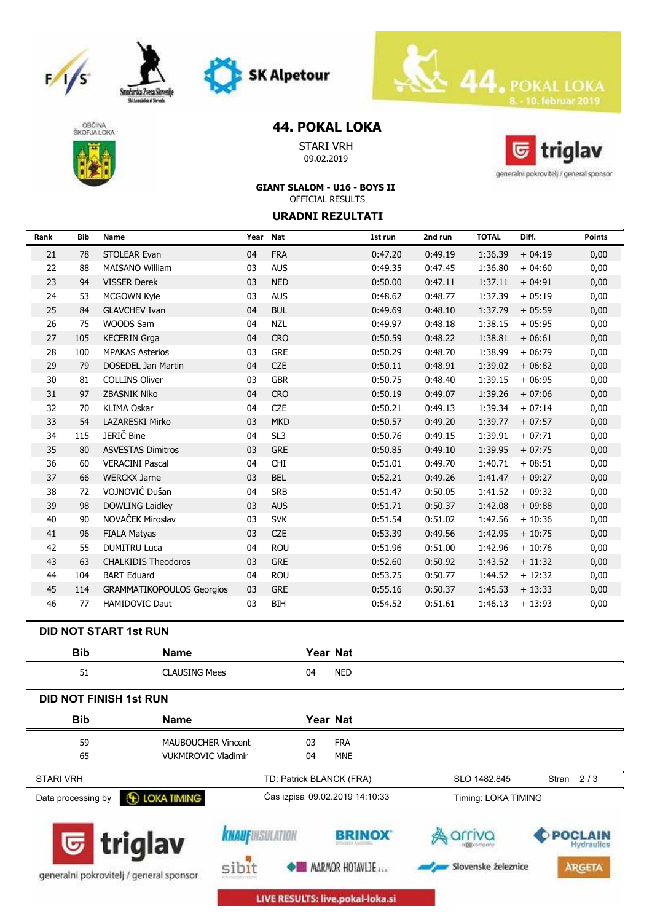









## **44. POKAL LOKA**

STARI VRH 09.02.2019



**GIANT SLALOM - U16 - BOYS II** OFFICIAL RESULTS

**URADNI REZULTATI**

| Rank | Bib        | Name                             | Year Nat |                 |                  | 1st run | 2nd run | <b>TOTAL</b> | Diff.    | <b>Points</b> |
|------|------------|----------------------------------|----------|-----------------|------------------|---------|---------|--------------|----------|---------------|
| 21   | 78         | <b>STOLEAR Evan</b>              | 04       | <b>FRA</b>      |                  | 0:47.20 | 0:49.19 | 1:36.39      | $+04:19$ | 0,00          |
| 22   | 88         | <b>MAISANO William</b>           | 03       | <b>AUS</b>      |                  | 0:49.35 | 0:47.45 | 1:36.80      | $+04:60$ | 0,00          |
| 23   | 94         | <b>VISSER Derek</b>              | 03       | <b>NED</b>      |                  | 0:50.00 | 0:47.11 | 1:37.11      | $+04:91$ | 0,00          |
| 24   | 53         | <b>MCGOWN Kyle</b>               | 03       | <b>AUS</b>      |                  | 0:48.62 | 0:48.77 | 1:37.39      | $+05:19$ | 0,00          |
| 25   | 84         | <b>GLAVCHEV Ivan</b>             | 04       | <b>BUL</b>      |                  | 0:49.69 | 0:48.10 | 1:37.79      | $+05:59$ | 0,00          |
| 26   | 75         | WOODS Sam                        | 04       | <b>NZL</b>      |                  | 0:49.97 | 0:48.18 | 1:38.15      | $+05:95$ | 0,00          |
| 27   | 105        | <b>KECERIN Grga</b>              | 04       | <b>CRO</b>      |                  | 0:50.59 | 0:48.22 | 1:38.81      | $+06:61$ | 0,00          |
| 28   | 100        | <b>MPAKAS Asterios</b>           | 03       | <b>GRE</b>      |                  | 0:50.29 | 0:48.70 | 1:38.99      | $+06:79$ | 0,00          |
| 29   | 79         | <b>DOSEDEL Jan Martin</b>        | 04       | <b>CZE</b>      |                  | 0:50.11 | 0:48.91 | 1:39.02      | $+06:82$ | 0,00          |
| 30   | 81         | <b>COLLINS Oliver</b>            | 03       | <b>GBR</b>      |                  | 0:50.75 | 0:48.40 | 1:39.15      | $+06:95$ | 0,00          |
| 31   | 97         | <b>ZBASNIK Niko</b>              | 04       | <b>CRO</b>      |                  | 0:50.19 | 0:49.07 | 1:39.26      | $+07:06$ | 0,00          |
| 32   | 70         | <b>KLIMA Oskar</b>               | 04       | <b>CZE</b>      |                  | 0:50.21 | 0:49.13 | 1:39.34      | $+07:14$ | 0,00          |
| 33   | 54         | <b>LAZARESKI Mirko</b>           | 03       | <b>MKD</b>      |                  | 0:50.57 | 0:49.20 | 1:39.77      | $+07:57$ | 0,00          |
| 34   | 115        | JERIČ Bine                       | 04       | SL <sub>3</sub> |                  | 0:50.76 | 0:49.15 | 1:39.91      | $+07:71$ | 0,00          |
| 35   | 80         | <b>ASVESTAS Dimitros</b>         | 03       | <b>GRE</b>      |                  | 0:50.85 | 0:49.10 | 1:39.95      | $+07:75$ | 0,00          |
| 36   | 60         | <b>VERACINI Pascal</b>           | 04       | <b>CHI</b>      |                  | 0:51.01 | 0:49.70 | 1:40.71      | $+08:51$ | 0,00          |
| 37   | 66         | <b>WERCKX Jarne</b>              | 03       | <b>BEL</b>      |                  | 0:52.21 | 0:49.26 | 1:41.47      | $+09:27$ | 0,00          |
| 38   | 72         | VOJNOVIĆ Dušan                   | 04       | <b>SRB</b>      |                  | 0:51.47 | 0:50.05 | 1:41.52      | $+09:32$ | 0,00          |
| 39   | 98         | <b>DOWLING Laidley</b>           | 03       | <b>AUS</b>      |                  | 0:51.71 | 0:50.37 | 1:42.08      | $+09:88$ | 0,00          |
| 40   | 90         | NOVAČEK Miroslav                 | 03       | <b>SVK</b>      |                  | 0:51.54 | 0:51.02 | 1:42.56      | $+10:36$ | 0,00          |
| 41   | 96         | <b>FIALA Matyas</b>              | 03       | <b>CZE</b>      |                  | 0:53.39 | 0:49.56 | 1:42.95      | $+10:75$ | 0,00          |
| 42   | 55         | <b>DUMITRU Luca</b>              | 04       | <b>ROU</b>      |                  | 0:51.96 | 0:51.00 | 1:42.96      | $+10:76$ | 0,00          |
| 43   | 63         | <b>CHALKIDIS Theodoros</b>       | 03       | <b>GRE</b>      |                  | 0:52.60 | 0:50.92 | 1:43.52      | $+11:32$ | 0,00          |
| 44   | 104        | <b>BART Eduard</b>               | 04       | <b>ROU</b>      |                  | 0:53.75 | 0:50.77 | 1:44.52      | $+12:32$ | 0,00          |
| 45   | 114        | <b>GRAMMATIKOPOULOS Georgios</b> | 03       | <b>GRE</b>      |                  | 0:55.16 | 0:50.37 | 1:45.53      | $+13:33$ | 0,00          |
| 46   | 77         | <b>HAMIDOVIC Daut</b>            | 03       | <b>BIH</b>      |                  | 0:54.52 | 0:51.61 | 1:46.13      | $+13:93$ | 0,00          |
|      |            | <b>DID NOT START 1st RUN</b>     |          |                 |                  |         |         |              |          |               |
|      | <b>Bib</b> | <b>Name</b>                      |          |                 | Year Nat         |         |         |              |          |               |
|      | 51         | <b>CLAUSING Mees</b>             |          |                 | 04<br><b>NED</b> |         |         |              |          |               |
|      |            | <b>DID NOT FINISH 1st RUN</b>    |          |                 |                  |         |         |              |          |               |

| <b>Bib</b>                                                           | <b>Name</b>                |                          | Year Nat |                                         |                               |                                               |
|----------------------------------------------------------------------|----------------------------|--------------------------|----------|-----------------------------------------|-------------------------------|-----------------------------------------------|
| 59                                                                   | MAUBOUCHER Vincent         |                          | 03       | <b>FRA</b>                              |                               |                                               |
| 65                                                                   | <b>VUKMIROVIC Vladimir</b> |                          | 04       | <b>MNE</b>                              |                               |                                               |
| <b>STARI VRH</b>                                                     |                            | TD: Patrick BLANCK (FRA) |          |                                         | SLO 1482.845                  | Stran $2/3$                                   |
| Data processing by                                                   | <b>E LOKA TIMING</b>       |                          |          | Čas izpisa 09.02.2019 14:10:33          | Timing: LOKA TIMING           |                                               |
| $\mathbf{\nabla}$ triglav<br>generalni pokrovitelj / general sponsor | sibit                      | <b>KNAUFINSULATION</b>   |          | <b>BRINOX</b><br><b>MARMOR HOTAVLIE</b> | arriva<br>Slovenske železnice | POCLAIN<br><b>Hydraulics</b><br><b>ARGETA</b> |

LIVE RESULTS: live.pokal-loka.si